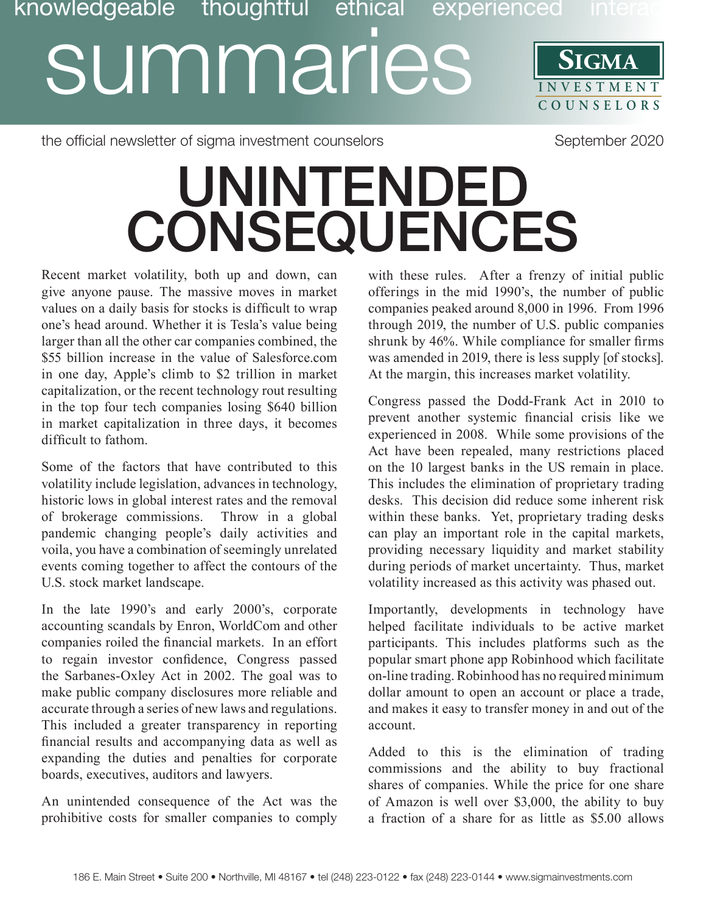## **SIGMA** Discription of the UMINICIAN SIGNA<br>
SUMMARIES SIGNA **COUNSE L O R S** knowledgeable thoughtful ethical experienced inte

the official newsletter of sigma investment counselors September 2020

## UNINTENDED CONSEQUENCES

Recent market volatility, both up and down, can give anyone pause. The massive moves in market values on a daily basis for stocks is difficult to wrap one's head around. Whether it is Tesla's value being larger than all the other car companies combined, the \$55 billion increase in the value of Salesforce.com in one day, Apple's climb to \$2 trillion in market capitalization, or the recent technology rout resulting in the top four tech companies losing \$640 billion in market capitalization in three days, it becomes difficult to fathom.

Some of the factors that have contributed to this volatility include legislation, advances in technology, historic lows in global interest rates and the removal of brokerage commissions. Throw in a global pandemic changing people's daily activities and voila, you have a combination of seemingly unrelated events coming together to affect the contours of the U.S. stock market landscape.

In the late 1990's and early 2000's, corporate accounting scandals by Enron, WorldCom and other companies roiled the financial markets. In an effort to regain investor confidence, Congress passed the Sarbanes-Oxley Act in 2002. The goal was to make public company disclosures more reliable and accurate through a series of new laws and regulations. This included a greater transparency in reporting financial results and accompanying data as well as expanding the duties and penalties for corporate boards, executives, auditors and lawyers.

An unintended consequence of the Act was the prohibitive costs for smaller companies to comply

with these rules. After a frenzy of initial public offerings in the mid 1990's, the number of public companies peaked around 8,000 in 1996. From 1996 through 2019, the number of U.S. public companies shrunk by 46%. While compliance for smaller firms was amended in 2019, there is less supply [of stocks]. At the margin, this increases market volatility.

Congress passed the Dodd-Frank Act in 2010 to prevent another systemic financial crisis like we experienced in 2008. While some provisions of the Act have been repealed, many restrictions placed on the 10 largest banks in the US remain in place. This includes the elimination of proprietary trading desks. This decision did reduce some inherent risk within these banks. Yet, proprietary trading desks can play an important role in the capital markets, providing necessary liquidity and market stability during periods of market uncertainty. Thus, market volatility increased as this activity was phased out.

Importantly, developments in technology have helped facilitate individuals to be active market participants. This includes platforms such as the popular smart phone app Robinhood which facilitate on-line trading. Robinhood has no required minimum dollar amount to open an account or place a trade, and makes it easy to transfer money in and out of the account.

Added to this is the elimination of trading commissions and the ability to buy fractional shares of companies. While the price for one share of Amazon is well over \$3,000, the ability to buy a fraction of a share for as little as \$5.00 allows